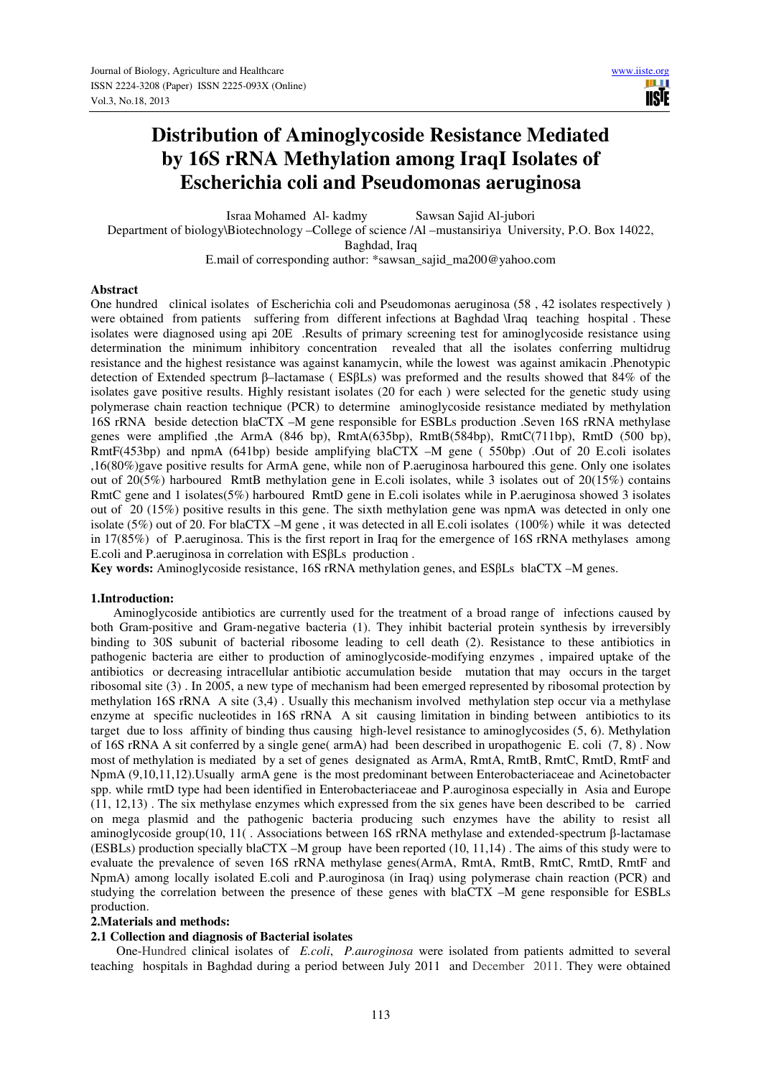# **Distribution of Aminoglycoside Resistance Mediated by 16S rRNA Methylation among IraqI Isolates of Escherichia coli and Pseudomonas aeruginosa**

Israa Mohamed Al- kadmy Sawsan Sajid Al-jubori

Department of biology\Biotechnology –College of science /Al –mustansiriya University, P.O. Box 14022, Baghdad, Iraq

E.mail of corresponding author: \*sawsan\_sajid\_ma200@yahoo.com

#### **Abstract**

One hundred clinical isolates of Escherichia coli and Pseudomonas aeruginosa (58 , 42 isolates respectively ) were obtained from patients suffering from different infections at Baghdad \Iraq teaching hospital . These isolates were diagnosed using api 20E .Results of primary screening test for aminoglycoside resistance using determination the minimum inhibitory concentration revealed that all the isolates conferring multidrug resistance and the highest resistance was against kanamycin, while the lowest was against amikacin .Phenotypic detection of Extended spectrum β–lactamase ( ESβLs) was preformed and the results showed that 84% of the isolates gave positive results. Highly resistant isolates (20 for each ) were selected for the genetic study using polymerase chain reaction technique (PCR) to determine aminoglycoside resistance mediated by methylation 16S rRNA beside detection blaCTX –M gene responsible for ESBLs production .Seven 16S rRNA methylase genes were amplified ,the ArmA (846 bp), RmtA(635bp), RmtB(584bp), RmtC(711bp), RmtD (500 bp), RmtF(453bp) and npmA (641bp) beside amplifying blaCTX –M gene ( 550bp) .Out of 20 E.coli isolates ,16(80%)gave positive results for ArmA gene, while non of P.aeruginosa harboured this gene. Only one isolates out of 20(5%) harboured RmtB methylation gene in E.coli isolates, while 3 isolates out of 20(15%) contains RmtC gene and 1 isolates(5%) harboured RmtD gene in E.coli isolates while in P.aeruginosa showed 3 isolates out of 20 (15%) positive results in this gene. The sixth methylation gene was npmA was detected in only one isolate (5%) out of 20. For blaCTX –M gene , it was detected in all E.coli isolates (100%) while it was detected in 17(85%) of P.aeruginosa. This is the first report in Iraq for the emergence of 16S rRNA methylases among E.coli and P.aeruginosa in correlation with ESβLs production .

**Key words:** Aminoglycoside resistance, 16S rRNA methylation genes, and ESβLs blaCTX –M genes.

#### **1.Introduction:**

 Aminoglycoside antibiotics are currently used for the treatment of a broad range of infections caused by both Gram-positive and Gram-negative bacteria (1). They inhibit bacterial protein synthesis by irreversibly binding to 30S subunit of bacterial ribosome leading to cell death (2). Resistance to these antibiotics in pathogenic bacteria are either to production of aminoglycoside-modifying enzymes , impaired uptake of the antibiotics or decreasing intracellular antibiotic accumulation beside mutation that may occurs in the target ribosomal site (3) . In 2005, a new type of mechanism had been emerged represented by ribosomal protection by methylation 16S rRNA A site (3,4) . Usually this mechanism involved methylation step occur via a methylase enzyme at specific nucleotides in 16S rRNA A sit causing limitation in binding between antibiotics to its target due to loss affinity of binding thus causing high-level resistance to aminoglycosides (5, 6). Methylation of 16S rRNA A sit conferred by a single gene( armA) had been described in uropathogenic E. coli (7, 8) . Now most of methylation is mediated by a set of genes designated as ArmA, RmtA, RmtB, RmtC, RmtD, RmtF and NpmA (9,10,11,12).Usually armA gene is the most predominant between Enterobacteriaceae and Acinetobacter spp. while rmtD type had been identified in Enterobacteriaceae and P.auroginosa especially in Asia and Europe (11, 12,13) . The six methylase enzymes which expressed from the six genes have been described to be carried on mega plasmid and the pathogenic bacteria producing such enzymes have the ability to resist all aminoglycoside group(10, 11( . Associations between 16S rRNA methylase and extended-spectrum β-lactamase (ESBLs) production specially blaCTX –M group have been reported (10, 11,14) . The aims of this study were to evaluate the prevalence of seven 16S rRNA methylase genes(ArmA, RmtA, RmtB, RmtC, RmtD, RmtF and NpmA) among locally isolated E.coli and P.auroginosa (in Iraq) using polymerase chain reaction (PCR) and studying the correlation between the presence of these genes with blaCTX –M gene responsible for ESBLs production.

#### **2.Materials and methods:**

#### **2.1 Collection and diagnosis of Bacterial isolates**

 One-Hundred clinical isolates of *E.coli*, *P.auroginosa* were isolated from patients admitted to several teaching hospitals in Baghdad during a period between July 2011 and December 2011. They were obtained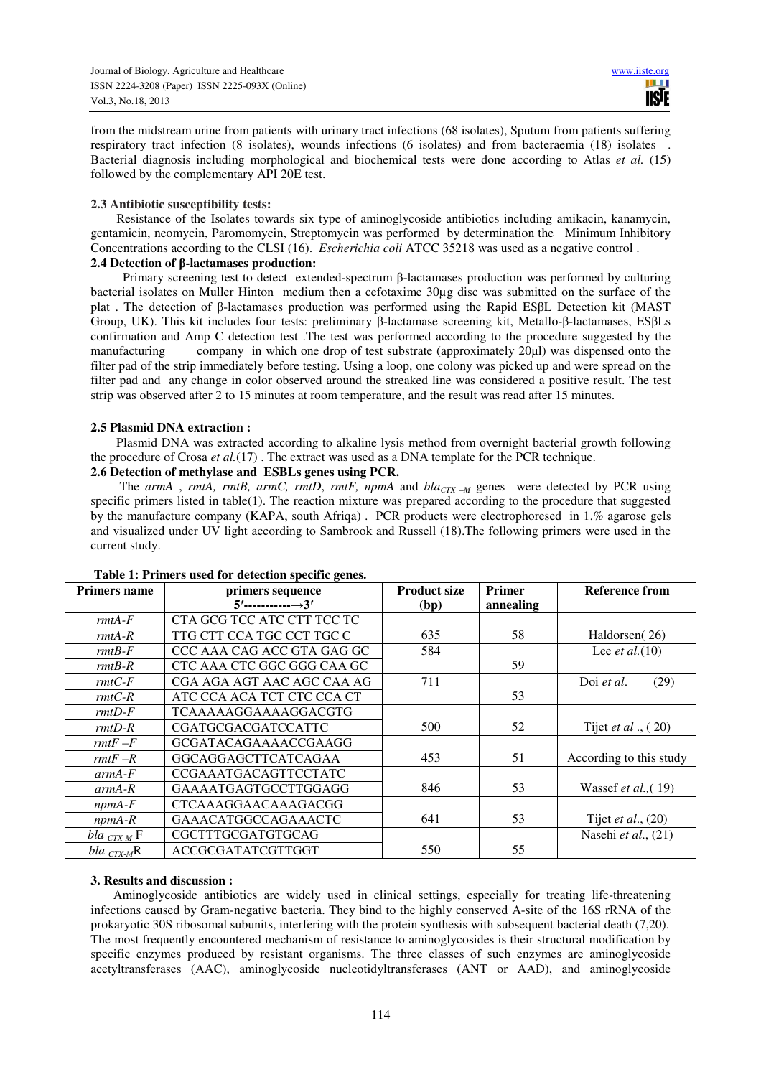from the midstream urine from patients with urinary tract infections (68 isolates), Sputum from patients suffering respiratory tract infection (8 isolates), wounds infections (6 isolates) and from bacteraemia (18) isolates . Bacterial diagnosis including morphological and biochemical tests were done according to Atlas *et al.* (15) followed by the complementary API 20E test.

## **2.3 Antibiotic susceptibility tests:**

 Resistance of the Isolates towards six type of aminoglycoside antibiotics including amikacin, kanamycin, gentamicin, neomycin, Paromomycin, Streptomycin was performed by determination the Minimum Inhibitory Concentrations according to the CLSI (16). *Escherichia coli* ATCC 35218 was used as a negative control .

## **2.4 Detection of β-lactamases production:**

 Primary screening test to detect extended-spectrum β-lactamases production was performed by culturing bacterial isolates on Muller Hinton medium then a cefotaxime 30µg disc was submitted on the surface of the plat . The detection of β-lactamases production was performed using the Rapid ESβL Detection kit (MAST Group, UK). This kit includes four tests: preliminary β-lactamase screening kit, Metallo-β-lactamases, ESβLs confirmation and Amp C detection test .The test was performed according to the procedure suggested by the manufacturing company in which one drop of test substrate (approximately 20µl) was dispensed onto the filter pad of the strip immediately before testing. Using a loop, one colony was picked up and were spread on the filter pad and any change in color observed around the streaked line was considered a positive result. The test strip was observed after 2 to 15 minutes at room temperature, and the result was read after 15 minutes.

#### **2.5 Plasmid DNA extraction :**

 Plasmid DNA was extracted according to alkaline lysis method from overnight bacterial growth following the procedure of Crosa *et al.*(17) . The extract was used as a DNA template for the PCR technique.

## **2.6 Detection of methylase and ESBLs genes using PCR.**

 The *armA* , *rmtA, rmtB, armC, rmtD*, *rmtF, npmA* and *blaCTX –M* genes were detected by PCR using specific primers listed in table(1). The reaction mixture was prepared according to the procedure that suggested by the manufacture company (KAPA, south Afriqa) . PCR products were electrophoresed in 1.% agarose gels and visualized under UV light according to Sambrook and Russell (18).The following primers were used in the current study.

| <b>Primers name</b> | primers sequence            | <b>Product size</b> | <b>Primer</b> | Reference from                |
|---------------------|-----------------------------|---------------------|---------------|-------------------------------|
|                     | $5'$ ----------------3'     | (bp)                | annealing     |                               |
| $rmtA-F$            | CTA GCG TCC ATC CTT TCC TC  |                     |               |                               |
| $rmtA-R$            | TTG CTT CCA TGC CCT TGC C   | 635                 | 58            | Haldorsen(26)                 |
| $rmB-F$             | CCC AAA CAG ACC GTA GAG GC  | 584                 |               | Lee <i>et al.</i> (10)        |
| $rmB-R$             | CTC AAA CTC GGC GGG CAA GC  |                     | 59            |                               |
| $rmtC-F$            | CGA AGA AGT AAC AGC CAA AG  | 711                 |               | Doi et al.<br>(29)            |
| $rmtC-R$            | ATC CCA ACA TCT CTC CCA CT  |                     | 53            |                               |
| $rmtD-F$            | TCAAAAAGGAAAAGGACGTG        |                     |               |                               |
| $rmtD-R$            | <b>CGATGCGACGATCCATTC</b>   | 500                 | 52            | Tijet <i>et al</i> ., $(20)$  |
| $rmtF-F$            | GCGATACAGAAAACCGAAGG        |                     |               |                               |
| $rmtF-R$            | <b>GGCAGGAGCTTCATCAGAA</b>  | 453                 | 51            | According to this study       |
| $armA-F$            | <b>CCGAAATGACAGTTCCTATC</b> |                     |               |                               |
| $armA-R$            | GAAAATGAGTGCCTTGGAGG        | 846                 | 53            | Wassef <i>et al.</i> , $(19)$ |
| $npmA$ - $F$        | <b>CTCAAAGGAACAAAGACGG</b>  |                     |               |                               |
| $npmA-R$            | <b>GAAACATGGCCAGAAACTC</b>  | 641                 | 53            | Tijet <i>et al.</i> , $(20)$  |
| bla $_{CTX-M}$ F    | CGCTTTGCGATGTGCAG           |                     |               | Nasehi et al., (21)           |
| bla $_{CTX-M}R$     | ACCGCGATATCGTTGGT           | 550                 | 55            |                               |

#### **Table 1: Primers used for detection specific genes.**

## **3. Results and discussion :**

 Aminoglycoside antibiotics are widely used in clinical settings, especially for treating life-threatening infections caused by Gram-negative bacteria. They bind to the highly conserved A-site of the 16S rRNA of the prokaryotic 30S ribosomal subunits, interfering with the protein synthesis with subsequent bacterial death (7,20). The most frequently encountered mechanism of resistance to aminoglycosides is their structural modification by specific enzymes produced by resistant organisms. The three classes of such enzymes are aminoglycoside acetyltransferases (AAC), aminoglycoside nucleotidyltransferases (ANT or AAD), and aminoglycoside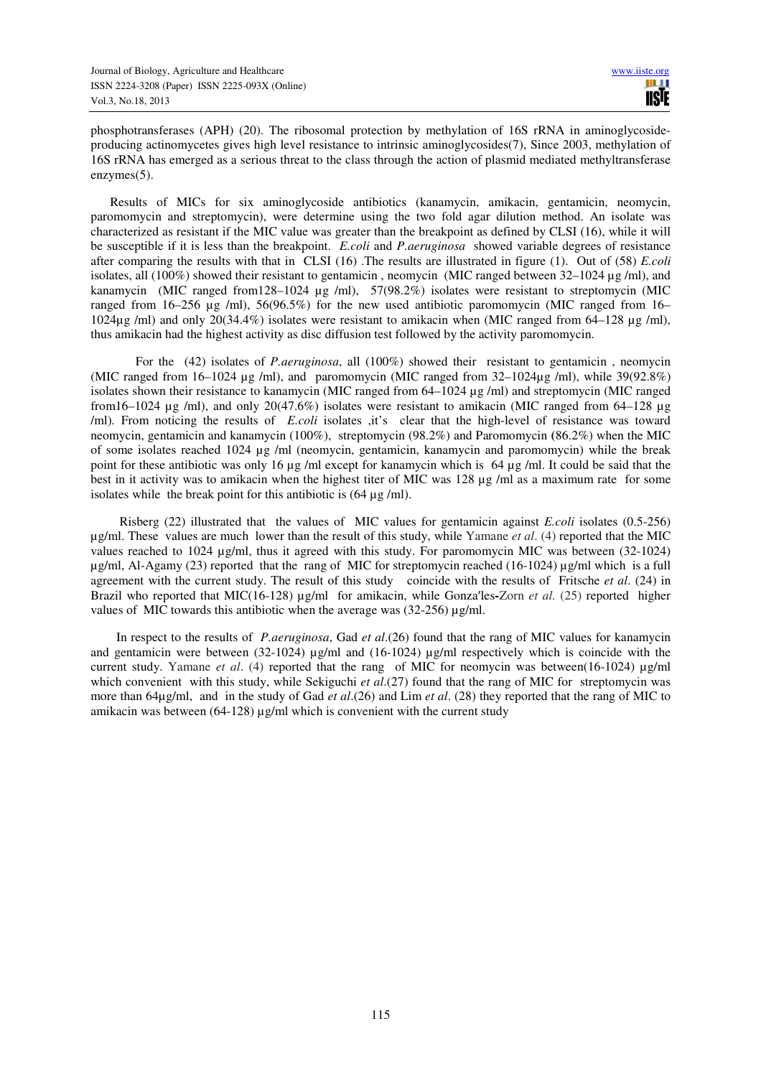phosphotransferases (APH) (20). The ribosomal protection by methylation of 16S rRNA in aminoglycosideproducing actinomycetes gives high level resistance to intrinsic aminoglycosides(7), Since 2003, methylation of 16S rRNA has emerged as a serious threat to the class through the action of plasmid mediated methyltransferase enzymes(5).

 Results of MICs for six aminoglycoside antibiotics (kanamycin, amikacin, gentamicin, neomycin, paromomycin and streptomycin), were determine using the two fold agar dilution method. An isolate was characterized as resistant if the MIC value was greater than the breakpoint as defined by CLSI (16), while it will be susceptible if it is less than the breakpoint. *E.coli* and *P.aeruginosa* showed variable degrees of resistance after comparing the results with that in CLSI (16) .The results are illustrated in figure (1). Out of (58) *E.coli*  isolates, all (100%) showed their resistant to gentamicin , neomycin (MIC ranged between 32–1024 µg /ml), and kanamycin (MIC ranged from128–1024 µg /ml), 57(98.2%) isolates were resistant to streptomycin (MIC ranged from 16–256 ug /ml), 56(96.5%) for the new used antibiotic paromomycin (MIC ranged from 16– 1024µg /ml) and only 20(34.4%) isolates were resistant to amikacin when (MIC ranged from 64–128 µg /ml), thus amikacin had the highest activity as disc diffusion test followed by the activity paromomycin.

 For the (42) isolates of *P.aeruginosa*, all (100%) showed their resistant to gentamicin , neomycin (MIC ranged from 16–1024 µg /ml), and paromomycin (MIC ranged from 32–1024µg /ml), while 39(92.8%) isolates shown their resistance to kanamycin (MIC ranged from 64–1024 µg /ml) and streptomycin (MIC ranged from16–1024 µg /ml), and only 20(47.6%) isolates were resistant to amikacin (MIC ranged from 64–128 µg /ml)*.* From noticing the results of *E.coli* isolates ,it's clear that the high-level of resistance was toward neomycin, gentamicin and kanamycin (100%), streptomycin (98.2%) and Paromomycin **(**86.2%) when the MIC of some isolates reached 1024 µg /ml (neomycin, gentamicin, kanamycin and paromomycin) while the break point for these antibiotic was only 16 µg /ml except for kanamycin which is 64 µg /ml. It could be said that the best in it activity was to amikacin when the highest titer of MIC was 128 µg /ml as a maximum rate for some isolates while the break point for this antibiotic is  $(64 \mu g/ml)$ .

 Risberg (22) illustrated that the values of MIC values for gentamicin against *E.coli* isolates (0.5-256) µg/ml. These values are much lower than the result of this study, while Yamane *et al*. (4) reported that the MIC values reached to 1024 µg/ml, thus it agreed with this study. For paromomycin MIC was between (32-1024) µg/ml, Al-Agamy (23) reported that the rang of MIC for streptomycin reached (16-1024) µg/ml which is a full agreement with the current study. The result of this studycoincide with the results of Fritsche *et al*. (24) in Brazil who reported that MIC(16-128) µg/ml for amikacin, while Gonza′les**-**Zorn *et al.* (25) reported higher values of MIC towards this antibiotic when the average was  $(32-256)$  ug/ml.

In respect to the results of *P.aeruginosa*, Gad *et al*.(26) found that the rang of MIC values for kanamycin and gentamicin were between (32-1024) µg/ml and (16-1024) µg/ml respectively which is coincide with the current study. Yamane *et al*. (4) reported that the rang of MIC for neomycin was between(16-1024) µg/ml which convenient with this study, while Sekiguchi *et al.*(27) found that the rang of MIC for streptomycin was more than 64µg/ml, and in the study of Gad *et al*.(26) and Lim *et al*. (28) they reported that the rang of MIC to amikacin was between  $(64-128) \mu g/ml$  which is convenient with the current study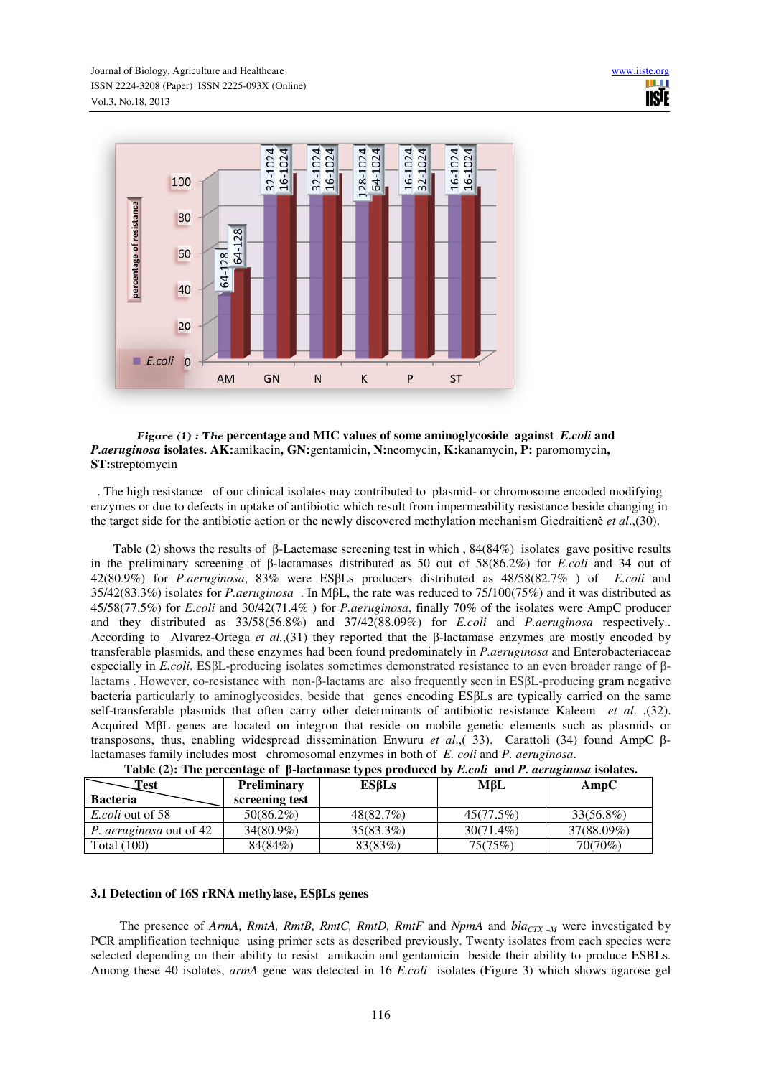

## **Figure (1) : The percentage and MIC values of some aminoglycoside against** *E.coli* **and**  *P.aeruginosa* **isolates. AK:**amikacin**, GN:**gentamicin**, N:**neomycin**, K:**kanamycin**, P:** paromomycin**, ST:**streptomycin

 . The high resistance of our clinical isolates may contributed to plasmid- or chromosome encoded modifying enzymes or due to defects in uptake of antibiotic which result from impermeability resistance beside changing in the target side for the antibiotic action or the newly discovered methylation mechanism Giedraitienė *et al*.,(30).

 Table (2) shows the results of β-Lactemase screening test in which , 84(84%) isolates gave positive results in the preliminary screening of β-lactamases distributed as 50 out of 58(86.2%) for *E.coli* and 34 out of 42(80.9%) for *P.aeruginosa*, 83% were ESβLs producers distributed as 48/58(82.7% ) of *E.coli* and 35/42(83.3%) isolates for *P.aeruginosa* . In MβL, the rate was reduced to 75/100(75%) and it was distributed as 45/58(77.5%) for *E.coli* and 30/42(71.4% ) for *P.aeruginosa*, finally 70% of the isolates were AmpC producer and they distributed as 33/58(56.8%) and 37/42(88.09%) for *E.coli* and *P.aeruginosa* respectively.. According to Alvarez-Ortega *et al.*,(31) they reported that the β-lactamase enzymes are mostly encoded by transferable plasmids, and these enzymes had been found predominately in *P.aeruginosa* and Enterobacteriaceae especially in *E.coli*. ESβL-producing isolates sometimes demonstrated resistance to an even broader range of βlactams . However, co-resistance with non-β-lactams are also frequently seen in ESβL-producing gram negative bacteria particularly to aminoglycosides, beside that genes encoding ESβLs are typically carried on the same self-transferable plasmids that often carry other determinants of antibiotic resistance Kaleem *et al*. ,(32). Acquired MβL genes are located on integron that reside on mobile genetic elements such as plasmids or transposons, thus, enabling widespread dissemination Enwuru *et al*.,( 33). Carattoli (34) found AmpC βlactamases family includes most chromosomal enzymes in both of *E. coli* and *P. aeruginosa*.

|                                |                    | THERE IS THE PERCHANGE OF $\beta$ increminate $\epsilon$ , per producted by |              | <b>Encon una I</b> , we us noon would |
|--------------------------------|--------------------|-----------------------------------------------------------------------------|--------------|---------------------------------------|
| Test                           | <b>Preliminary</b> | ESBLs                                                                       | MβL          | AmpC                                  |
| <b>Bacteria</b>                | screening test     |                                                                             |              |                                       |
| <i>E.coli</i> out of 58        | $50(86.2\%)$       | 48(82.7%)                                                                   | 45(77.5%)    | 33(56.8%)                             |
| <i>P. aeruginosa</i> out of 42 | $34(80.9\%)$       | $35(83.3\%)$                                                                | $30(71.4\%)$ | 37(88.09%)                            |
| Total (100)                    | 84(84%)            | 83(83%)                                                                     | 75(75%)      | 70(70%)                               |

|  |  | Table $(2)$ : The percentage of $\beta$ -lactamase types produced by <i>E.coli</i> and <i>P. aeruginosa</i> isolates. |
|--|--|-----------------------------------------------------------------------------------------------------------------------|
|  |  |                                                                                                                       |

## **3.1 Detection of 16S rRNA methylase, ESβLs genes**

 The presence of *ArmA, RmtA, RmtB, RmtC, RmtD, RmtF* and *NpmA* and *blaCTX –M* were investigated by PCR amplification technique using primer sets as described previously. Twenty isolates from each species were selected depending on their ability to resist amikacin and gentamicin beside their ability to produce ESBLs. Among these 40 isolates, *armA* gene was detected in 16 *E.coli* isolates (Figure 3) which shows agarose gel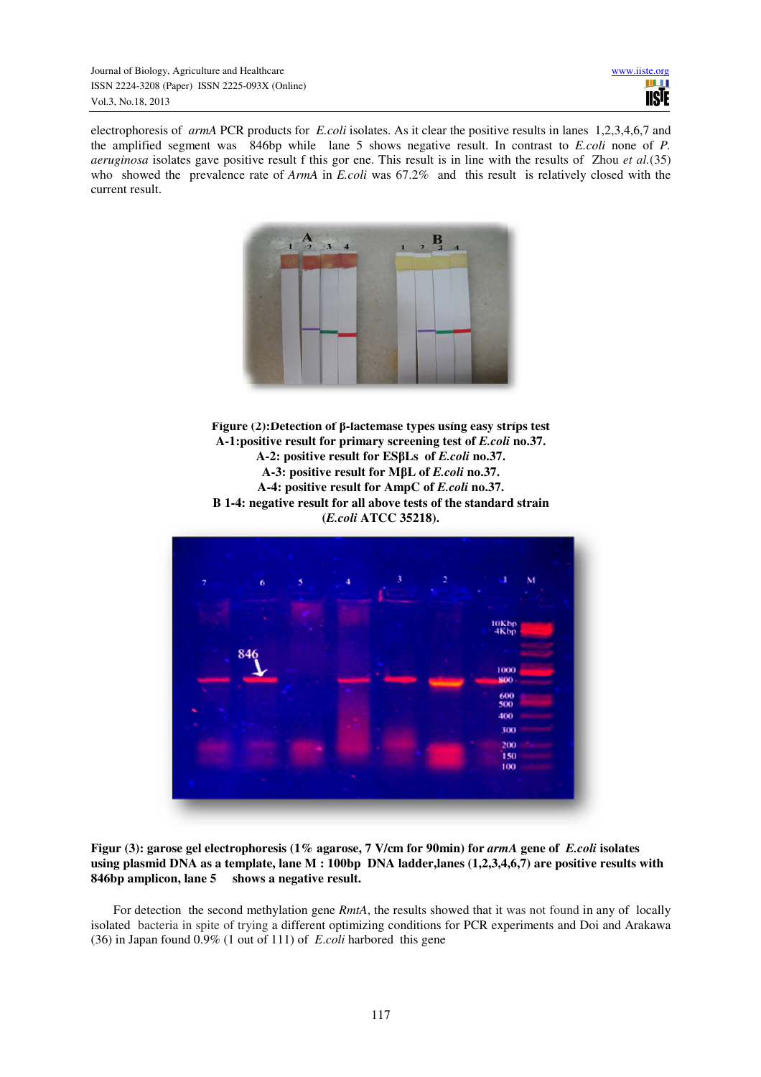electrophoresis of *armA* PCR products for *E.coli* isolates. As it clear the positive results in lanes 1,2,3,4,6,7 and the amplified segment was 846bp while lane 5 shows negative result. In contrast to *E.coli* none of *P. aeruginosa* isolates gave positive result f this gor ene. This result is in line with the results of Zhou *et al.*(35) who showed the prevalence rate of *ArmA* in *E.coli* was 67.2% and this result is relatively closed with the current result.



**Figure (2):Detection of β-lactemase types using easy strips test A-1:positive result for primary screening test of** *E.coli* **no.37. A-2: positive result for ESβLs of** *E.coli* **no.37. A-3: positive result for MβL of** *E.coli* **no.37. A-4: positive result for AmpC of** *E.coli* **no.37. B 1-4: negative result for all above tests of the standard strain (***E.coli* **ATCC 35218).**



**Figur (3): garose gel electrophoresis (1% agarose, 7 V/cm for 90min) for** *armA* **gene of** *E.coli* **isolates using plasmid DNA as a template, lane M : 100bp DNA ladder,lanes (1,2,3,4,6,7) are positive results with 846bp amplicon, lane 5 shows a negative result.**

For detection the second methylation gene *RmtA*, the results showed that it was not found in any of locally isolated bacteria in spite of trying a different optimizing conditions for PCR experiments and Doi and Arakawa (36) in Japan found 0.9% (1 out of 111) of *E*.*coli* harbored this gene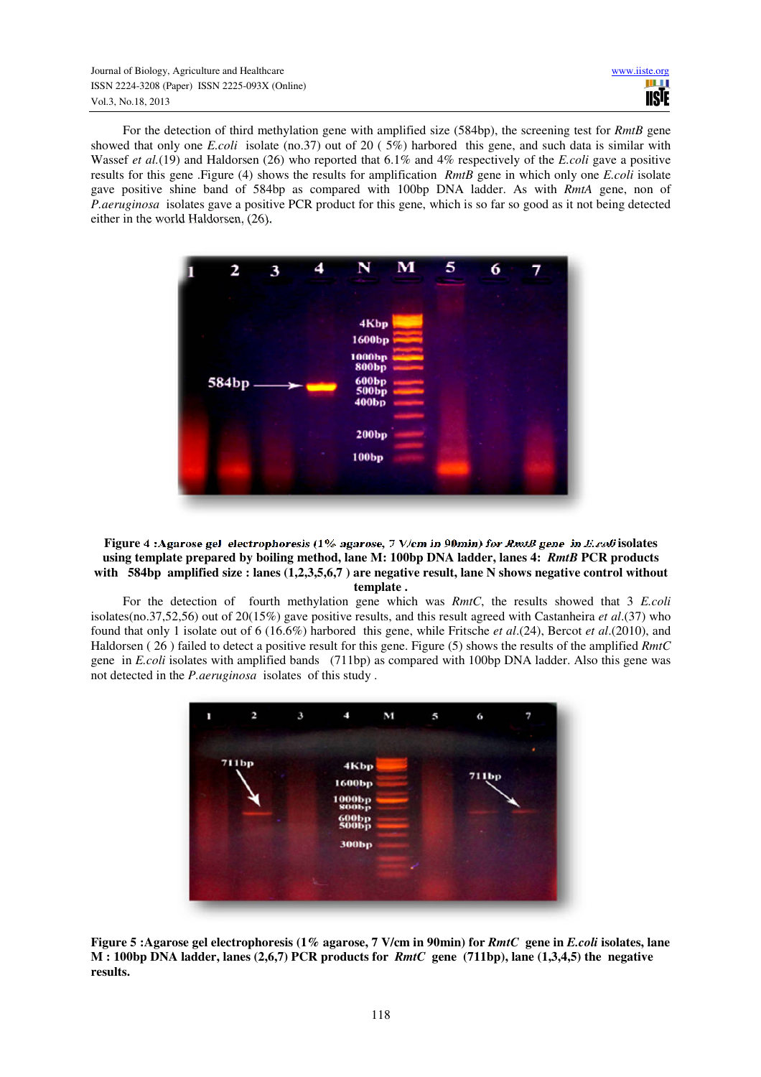For the detection of third methylation gene with amplified size (584bp), the screening test for *RmtB* gene showed that only one *E.coli* isolate (no.37) out of 20 ( 5%) harbored this gene, and such data is similar with Wassef *et al.*(19) and Haldorsen (26) who reported that 6.1% and 4% respectively of the *E.coli* gave a positive results for this gene .Figure (4) shows the results for amplification *RmtB* gene in which only one *E.coli* isolate gave positive shine band of 584bp as compared with 100bp DNA ladder. As with *RmtA* gene, non of *P.aeruginosa* isolates gave a positive PCR product for this gene, which is so far so good as it not being detected either in the world Haldorsen, (26).



#### **Figure 4 :Agarose gel electrophoresis (1% agarose, 7 V/cm in 90min) for** *RmtB* **gene in** *E.coli* **isolates using template prepared by boiling method, lane M: 100bp DNA ladder, lanes 4:** *RmtB* **PCR products with 584bp amplified size : lanes (1,2,3,5,6,7 ) are negative result, lane N shows negative control without template .**

 For the detection of fourth methylation gene which was *RmtC*, the results showed that 3 *E.coli*  isolates(no.37,52,56) out of 20(15%) gave positive results, and this result agreed with Castanheira *et al*.(37) who found that only 1 isolate out of 6 (16.6%) harbored this gene, while Fritsche *et al*.(24), Bercot *et al*.(2010), and Haldorsen ( 26 ) failed to detect a positive result for this gene. Figure (5) shows the results of the amplified *RmtC*  gene in *E.coli* isolates with amplified bands (711bp) as compared with 100bp DNA ladder. Also this gene was not detected in the *P.aeruginosa* isolates of this study .



**Figure 5 :Agarose gel electrophoresis (1% agarose, 7 V/cm in 90min) for** *RmtC* **gene in** *E.coli* **isolates, lane M : 100bp DNA ladder, lanes (2,6,7) PCR products for** *RmtC* **gene (711bp), lane (1,3,4,5) the negative results.**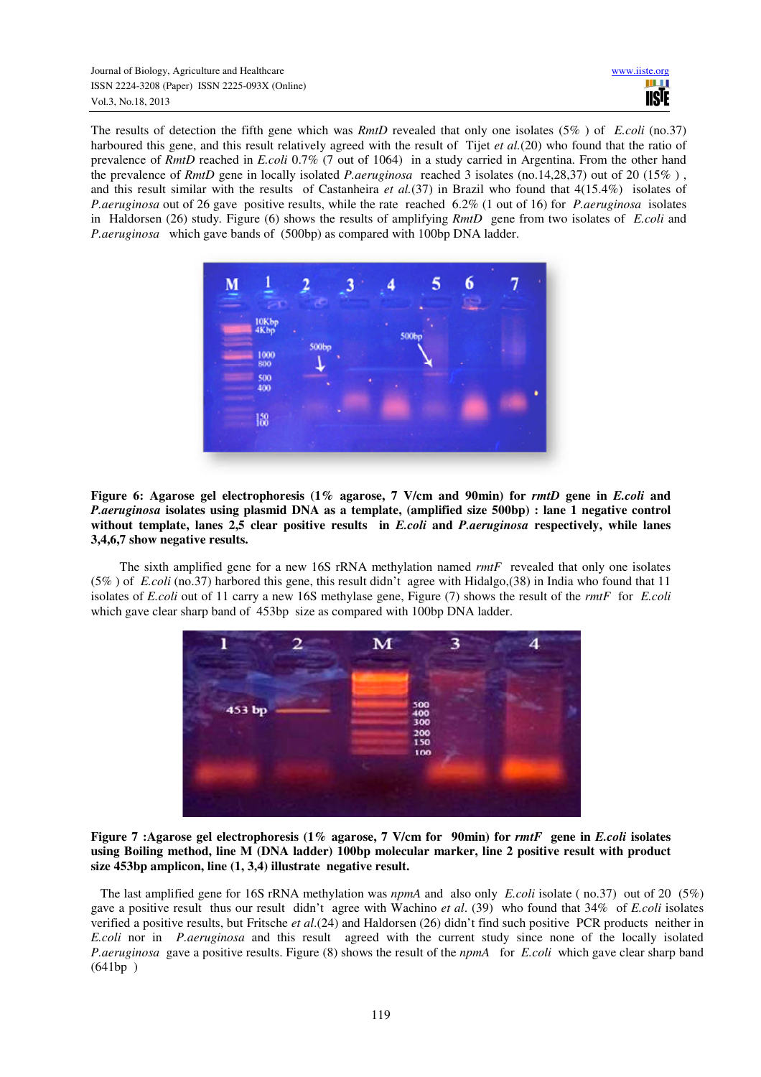The results of detection the fifth gene which was *RmtD* revealed that only one isolates (5% ) of *E.coli* (no.37) harboured this gene, and this result relatively agreed with the result of Tijet *et al.*(20) who found that the ratio of prevalence of *RmtD* reached in *E.coli* 0.7% (7 out of 1064) in a study carried in Argentina. From the other hand the prevalence of *RmtD* gene in locally isolated *P.aeruginosa* reached 3 isolates (no.14,28,37) out of 20 (15% ) , and this result similar with the results of Castanheira *et al.*(37) in Brazil who found that 4(15.4%) isolates of *P.aeruginosa* out of 26 gave positive results, while the rate reached 6.2% (1 out of 16) for *P.aeruginosa* isolates in Haldorsen (26) study*.* Figure (6) shows the results of amplifying *RmtD* gene from two isolates of *E.coli* and *P.aeruginosa* which gave bands of (500bp) as compared with 100bp DNA ladder.



**Figure 6: Agarose gel electrophoresis (1% agarose, 7 V/cm and 90min) for** *rmtD* **gene in** *E.coli* **and**  *P.aeruginosa* **isolates using plasmid DNA as a template, (amplified size 500bp) : lane 1 negative control without template, lanes 2,5 clear positive results in** *E.coli* **and** *P.aeruginosa* **respectively, while lanes 3,4,6,7 show negative results.**

 The sixth amplified gene for a new 16S rRNA methylation named *rmtF* revealed that only one isolates (5% ) of *E.coli* (no.37) harbored this gene, this result didn't agree with Hidalgo,(38) in India who found that 11 isolates of *E.coli* out of 11 carry a new 16S methylase gene, Figure (7) shows the result of the *rmtF* for *E.coli* which gave clear sharp band of 453bp size as compared with 100bp DNA ladder.



**Figure 7 :Agarose gel electrophoresis (1% agarose, 7 V/cm for 90min) for** *rmtF* **gene in** *E.coli* **isolates using Boiling method, line M (DNA ladder) 100bp molecular marker, line 2 positive result with product size 453bp amplicon, line (1, 3,4) illustrate negative result.**

 The last amplified gene for 16S rRNA methylation was *npmA* and also only *E.coli* isolate ( no.37) out of 20 (5%) gave a positive result thus our result didn't agree with Wachino *et al*. (39) who found that 34% of *E.coli* isolates verified a positive results, but Fritsche *et al*.(24) and Haldorsen (26) didn't find such positive PCR products neither in *E.coli* nor in *P.aeruginosa* and this result agreed with the current study since none of the locally isolated *P.aeruginosa* gave a positive results. Figure (8) shows the result of the *npmA* for *E.coli* which gave clear sharp band (641bp )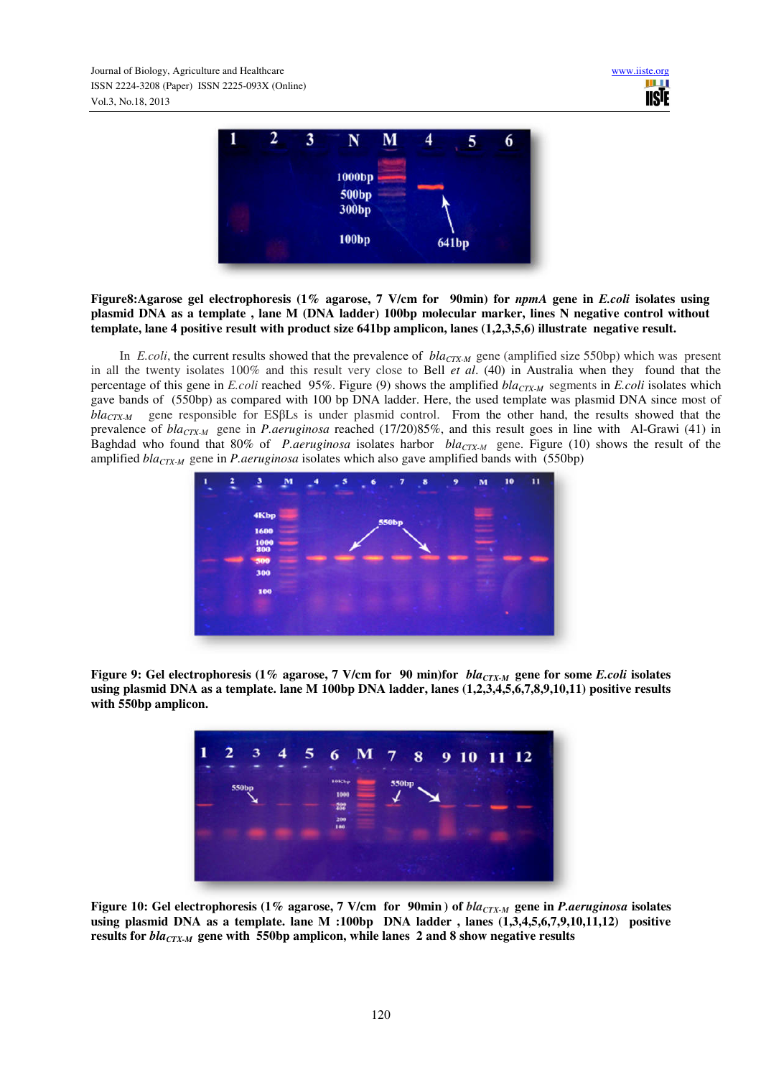

**Figure8:Agarose gel electrophoresis (1% agarose, 7 V/cm for 90min) for** *npmA* **gene in** *E.coli* **isolates using plasmid DNA as a template , lane M (DNA ladder) 100bp molecular marker, lines N negative control without template, lane 4 positive result with product size 641bp amplicon, lanes (1,2,3,5,6) illustrate negative result.** 

 In *E.coli*, the current results showed that the prevalence of *blaCTX-M* gene (amplified size 550bp) which was present in all the twenty isolates 100% and this result very close to Bell *et al*. (40) in Australia when they found that the percentage of this gene in *E.coli* reached 95%. Figure (9) shows the amplified *blaCTX-M* segments in *E.coli* isolates which gave bands of (550bp) as compared with 100 bp DNA ladder. Here, the used template was plasmid DNA since most of *blaCTX-M* gene responsible for ESβLs is under plasmid control. From the other hand, the results showed that the prevalence of *blaCTX-M* gene in *P.aeruginosa* reached (17/20)85%, and this result goes in line with Al-Grawi (41) in Baghdad who found that 80% of *P.aeruginosa* isolates harbor *blaCTX-M* gene. Figure (10) shows the result of the amplified *blaCTX-M* gene in *P.aeruginosa* isolates which also gave amplified bands with (550bp)



**Figure 9: Gel electrophoresis (1% agarose, 7 V/cm for 90 min)for** *blaCTX-M* **gene for some** *E.coli* **isolates using plasmid DNA as a template. lane M 100bp DNA ladder, lanes (1,2,3,4,5,6,7,8,9,10,11) positive results with 550bp amplicon.**



**Figure 10: Gel electrophoresis (1% agarose, 7 V/cm for 90min ) of** *blaCTX-M* **gene in** *P.aeruginosa* **isolates**  using plasmid DNA as a template. lane M :100bp DNA ladder, lanes  $(1,3,4,5,6,7,9,10,11,12)$  positive **results for** *blaCTX-M* **gene with 550bp amplicon, while lanes 2 and 8 show negative results**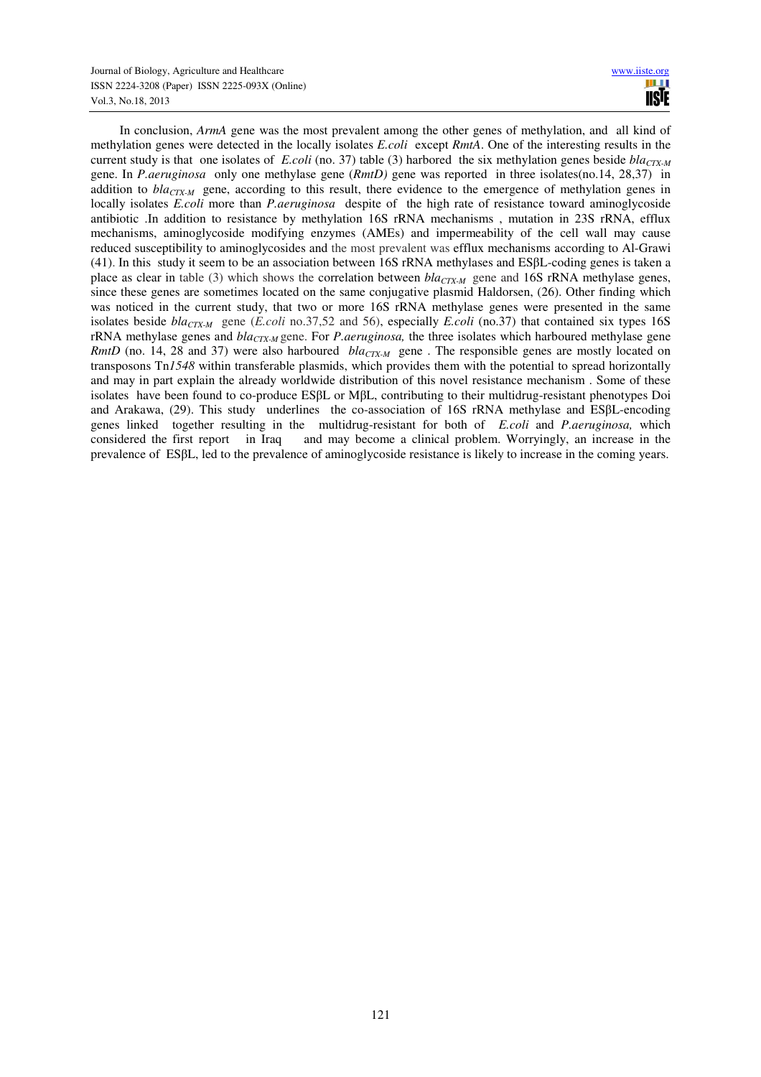In conclusion, *ArmA* gene was the most prevalent among the other genes of methylation, and all kind of methylation genes were detected in the locally isolates *E.coli* except *RmtA*. One of the interesting results in the current study is that one isolates of *E.coli* (no. 37) table (3) harbored the six methylation genes beside *blaCTX-M*  gene. In *P.aeruginosa* only one methylase gene (*RmtD)* gene was reported in three isolates(no.14, 28,37) in addition to *bla<sub>CTX-M</sub>* gene, according to this result, there evidence to the emergence of methylation genes in locally isolates *E.coli* more than *P.aeruginosa* despite of the high rate of resistance toward aminoglycoside antibiotic .In addition to resistance by methylation 16S rRNA mechanisms , mutation in 23S rRNA, efflux mechanisms, aminoglycoside modifying enzymes (AMEs) and impermeability of the cell wall may cause reduced susceptibility to aminoglycosides and the most prevalent was efflux mechanisms according to Al-Grawi (41). In this study it seem to be an association between 16S rRNA methylases and ESβL-coding genes is taken a place as clear in table (3) which shows the correlation between  $bla_{CTX-M}$  gene and 16S rRNA methylase genes, since these genes are sometimes located on the same conjugative plasmid Haldorsen, (26). Other finding which was noticed in the current study, that two or more 16S rRNA methylase genes were presented in the same isolates beside *blaCTX-M* gene (*E.coli* no.37,52 and 56), especially *E.coli* (no.37) that contained six types 16S rRNA methylase genes and *blaCTX-M* gene. For *P.aeruginosa,* the three isolates which harboured methylase gene *RmtD* (no. 14, 28 and 37) were also harboured *bla<sub>CTX-M</sub>* gene. The responsible genes are mostly located on transposons Tn*1548* within transferable plasmids, which provides them with the potential to spread horizontally and may in part explain the already worldwide distribution of this novel resistance mechanism . Some of these isolates have been found to co-produce ESβL or MβL, contributing to their multidrug-resistant phenotypes Doi and Arakawa, (29). This study underlines the co-association of 16S rRNA methylase and ESβL-encoding genes linked together resulting in the multidrug-resistant for both of *E.coli* and *P.aeruginosa,* which considered the first report in Iraq and may become a clinical problem. Worryingly, an increase in the prevalence of ESβL, led to the prevalence of aminoglycoside resistance is likely to increase in the coming years.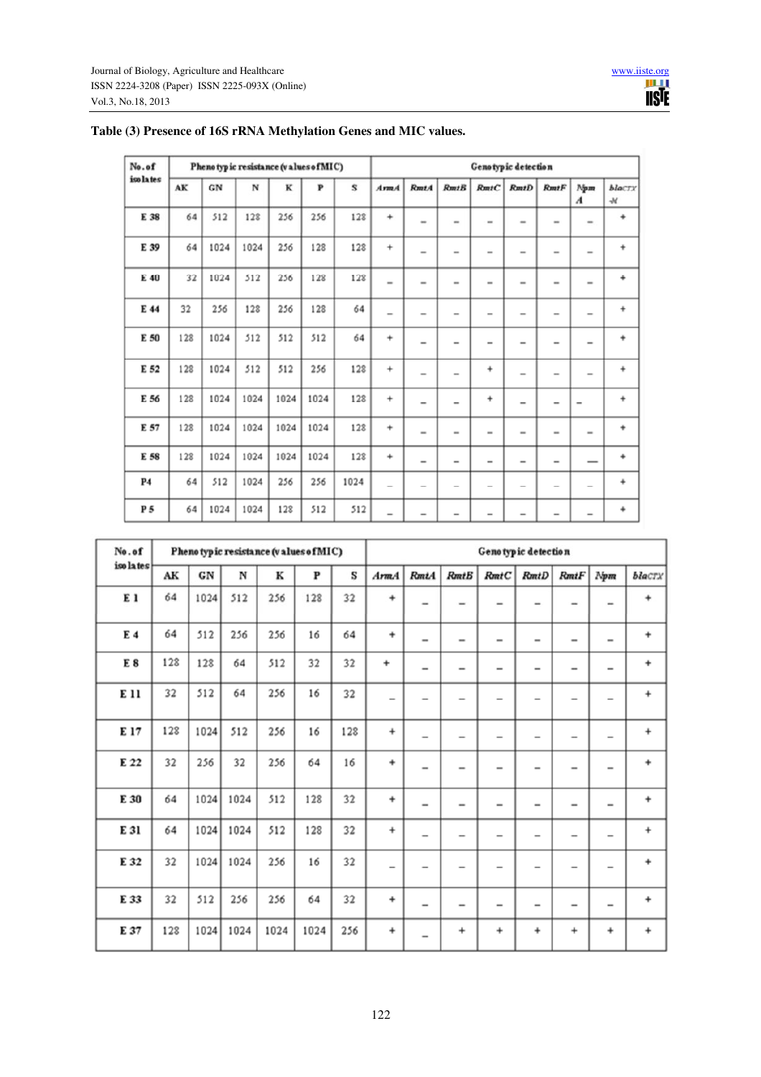| No.of      |     | Pheno typic resistance (values of MIC) |      |      |      |      | Genotypic detection      |                          |                          |                              |                              |                              |                              |                         |
|------------|-----|----------------------------------------|------|------|------|------|--------------------------|--------------------------|--------------------------|------------------------------|------------------------------|------------------------------|------------------------------|-------------------------|
| iso la tes | AK  | ${\bf G}{\bf N}$                       | N    | к    | P    | S    | $A$ rm $A$               | RmtA                     | RmtB                     | RmtC                         | RmtD                         | $R$ mt $F$                   | Npm<br>$\boldsymbol{A}$      | blaCTX<br>$\mathcal{M}$ |
| E 38       | 64  | 512                                    | 128  | 256  | 256  | 128  | $\ddot{}$                | $\overline{\phantom{a}}$ | $\overline{\phantom{a}}$ | $\overline{\phantom{a}}$     | $\,$                         | $\overline{\phantom{a}}$     | $\blacksquare$               | $\ddot{}$               |
| E 39       | 64  | 1024                                   | 1024 | 256  | 128  | 128  | $\ddot{}$                | $\overline{\phantom{0}}$ | $\overline{\phantom{0}}$ | $\overline{\phantom{a}}$     | $\qquad \qquad \blacksquare$ | $\overline{\phantom{a}}$     | $\overline{\phantom{a}}$     | $\ddot{}$               |
| E 40       | 32  | 1024                                   | 512  | 256  | 128  | 128  | $\overline{\phantom{a}}$ | $\overline{\phantom{a}}$ | $\overline{\phantom{a}}$ | $\overline{\phantom{a}}$     | $\qquad \qquad \blacksquare$ | $\overline{\phantom{a}}$     | $\overline{a}$               | ÷                       |
| E 44       | 32  | 256                                    | 128  | 256  | 128  | 64   | $\overline{\phantom{a}}$ | $\overline{\phantom{a}}$ | $\overline{\phantom{a}}$ | $\overline{\phantom{a}}$     | $\qquad \qquad \blacksquare$ | $\overline{\phantom{a}}$     | $\overline{\phantom{0}}$     | $\ddot{}$               |
| E 50       | 128 | 1024                                   | 512  | 512  | 512  | 64   | $\ddot{}$                | $\overline{\phantom{0}}$ | $\overline{\phantom{0}}$ | $\overline{\phantom{0}}$     | $\qquad \qquad \blacksquare$ | $\overline{\phantom{0}}$     | $\overline{\phantom{0}}$     | $\ddot{}$               |
| E 52       | 128 | 1024                                   | 512  | 512  | 256  | 128  | $\ddot{}$                | $\overline{\phantom{a}}$ | $\overline{a}$           | $\ddot{}$                    | $\overline{\phantom{a}}$     | $\overline{\phantom{a}}$     | $\overline{\phantom{a}}$     | $\ddot{}$               |
| E 56       | 128 | 1024                                   | 1024 | 1024 | 1024 | 128  | $\ddot{}$                | -                        | $\overline{\phantom{a}}$ | $\ddot{}$                    | $\overline{\phantom{a}}$     | $\overline{\phantom{a}}$     | -                            | $\ddot{}$               |
| E 57       | 128 | 1024                                   | 1024 | 1024 | 1024 | 128  | $\ddot{}$                | $\overline{\phantom{a}}$ | $\overline{\phantom{a}}$ | $\overline{\phantom{a}}$     | $\qquad \qquad \blacksquare$ | $\overline{\phantom{a}}$     | $\overline{\phantom{0}}$     | $\ddot{}$               |
| E 58       | 128 | 1024                                   | 1024 | 1024 | 1024 | 128  | $\ddot{}$                | $\overline{\phantom{0}}$ | $\overline{\phantom{0}}$ | $\qquad \qquad \blacksquare$ | $\qquad \qquad \blacksquare$ | $\qquad \qquad \blacksquare$ |                              | $\ddot{}$               |
| <b>P4</b>  | 64  | 512                                    | 1024 | 256  | 256  | 1024 | $\overline{\phantom{0}}$ | $\overline{\phantom{0}}$ | $\qquad \qquad$          | $\overline{\phantom{a}}$     |                              | $\overline{\phantom{a}}$     | $\overline{\phantom{0}}$     | ÷                       |
| P 5        | 64  | 1024                                   | 1024 | 128  | 512  | 512  | $\overline{\phantom{0}}$ | $\overline{\phantom{0}}$ | $\overline{\phantom{0}}$ | $\overline{\phantom{0}}$     | $\qquad \qquad \blacksquare$ | $\overline{\phantom{0}}$     | $\qquad \qquad \blacksquare$ | $\ddot{}$               |

# **Table (3) Presence of 16S rRNA Methylation Genes and MIC values.**

| No.of          |     |            |      | Phenotypic resistance (values of MIC) |              |     | Genotypic detection      |                          |                              |                              |                              |                          |                              |           |
|----------------|-----|------------|------|---------------------------------------|--------------|-----|--------------------------|--------------------------|------------------------------|------------------------------|------------------------------|--------------------------|------------------------------|-----------|
| iso la tes     | AK  | ${\tt GN}$ | N    | К                                     | $\mathbf{P}$ | S   | $A$ rm $A$               | <b>RmtA</b>              | <b>RmtB</b>                  | RmtC                         | RmtD                         | $R$ mt $F$               | Npm                          | black     |
| E <sub>1</sub> | 64  | 1024       | 512  | 256                                   | 128          | 32  | $\ddot{}$                | -                        | $\overline{\phantom{a}}$     | $\overline{\phantom{a}}$     | -                            | $\overline{\phantom{a}}$ | $\overline{\phantom{a}}$     | $\ddot{}$ |
| E 4            | 64  | 512        | 256  | 256                                   | 16           | 64  | $\ddot{}$                | $\overline{\phantom{0}}$ | $\overline{\phantom{0}}$     | $\overline{\phantom{0}}$     | $\overline{\phantom{0}}$     | $\overline{\phantom{0}}$ | $\overline{\phantom{0}}$     | $\ddot{}$ |
| E <sub>8</sub> | 128 | 128        | 64   | 512                                   | 32           | 32  | +                        | $\overline{\phantom{0}}$ | $\qquad \qquad \blacksquare$ | $\qquad \qquad \blacksquare$ | $\qquad \qquad \blacksquare$ | $\overline{\phantom{0}}$ | $\overline{\phantom{0}}$     | $\ddot{}$ |
| E 11           | 32  | 512        | 64   | 256                                   | 16           | 32  | $\overline{\phantom{0}}$ | -                        |                              |                              | -                            | -                        | -                            | $\ddot{}$ |
| E 17           | 128 | 1024       | 512  | 256                                   | 16           | 128 | $\ddot{}$                | $\overline{\phantom{0}}$ | $\qquad \qquad$              | $\qquad \qquad$              | $\overline{\phantom{0}}$     | $\overline{\phantom{0}}$ | $\overline{\phantom{0}}$     | $\ddot{}$ |
| E 22           | 32  | 256        | 32   | 256                                   | 64           | 16  | $\ddot{}$                | $\overline{\phantom{0}}$ | -                            | $\overline{\phantom{0}}$     | -                            | $\overline{\phantom{0}}$ | $\overline{\phantom{0}}$     | $\ddot{}$ |
| E 30           | 64  | 1024       | 1024 | 512                                   | 128          | 32  | $\ddot{}$                | $\overline{\phantom{0}}$ | $\overline{\phantom{0}}$     | $\overline{\phantom{0}}$     | -                            |                          | $\overline{\phantom{0}}$     | $\ddot{}$ |
| E 31           | 64  | 1024       | 1024 | 512                                   | 128          | 32  | $\ddot{}$                | $\overline{\phantom{0}}$ | $\overline{\phantom{0}}$     | $\qquad \qquad \blacksquare$ | $\qquad \qquad \blacksquare$ | $\overline{a}$           | $\qquad \qquad \blacksquare$ | $\ddot{}$ |
| E 32           | 32  | 1024       | 1024 | 256                                   | 16           | 32  | $\overline{\phantom{0}}$ | $\overline{\phantom{0}}$ |                              |                              | -                            | $\overline{\phantom{0}}$ | -                            | $\ddot{}$ |
| E 33           | 32  | 512        | 256  | 256                                   | 64           | 32  | $\ddot{}$                | $\overline{\phantom{0}}$ | $\qquad \qquad$              | $\qquad \qquad \blacksquare$ | $\overline{\phantom{0}}$     | $\overline{\phantom{0}}$ | $\overline{\phantom{0}}$     | $\ddot{}$ |
| E 37           | 128 | 1024       | 1024 | 1024                                  | 1024         | 256 | $\ddot{}$                | -                        | $\ddot{}$                    | $\ddot{}$                    | $\ddot{}$                    | $\ddot{}$                | ÷                            | $\ddot{}$ |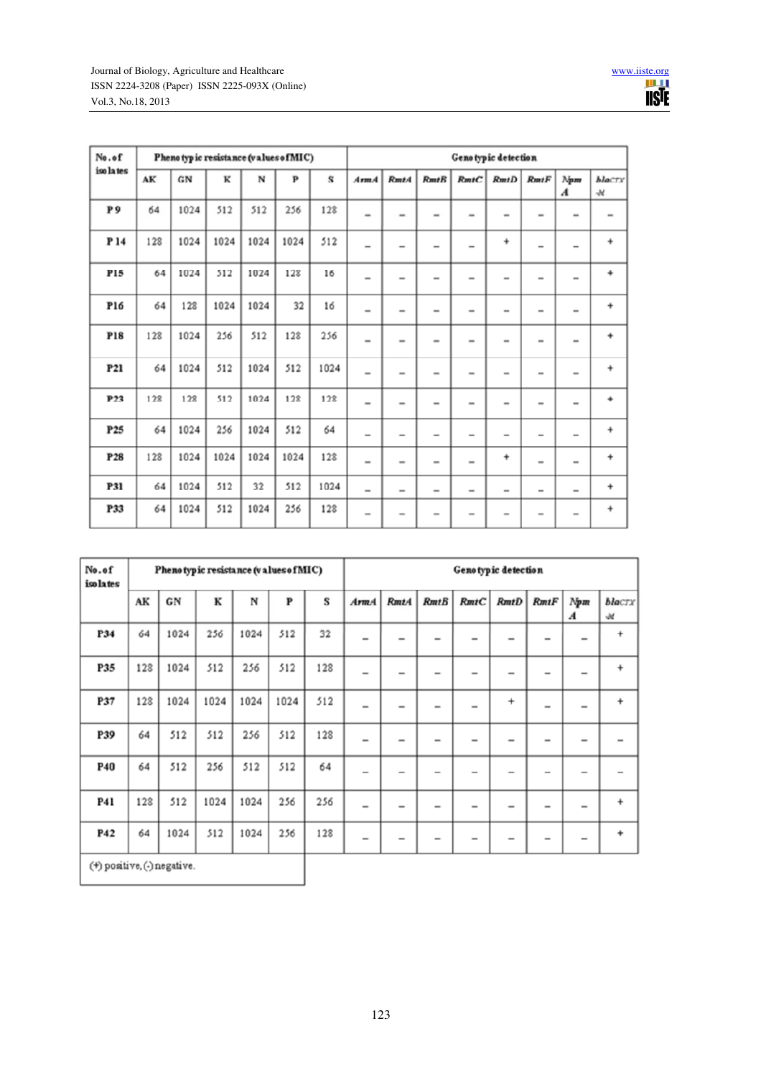| No.of      | Phenotypic resistance (values of MIC) |                  |      |      |      |      | Genotypic detection      |                          |                          |                          |                              |                          |                              |                           |
|------------|---------------------------------------|------------------|------|------|------|------|--------------------------|--------------------------|--------------------------|--------------------------|------------------------------|--------------------------|------------------------------|---------------------------|
| iso la tes | AK                                    | ${\bf G}{\bf N}$ | K    | N    | P    | s    | ArmA                     | <b>RmtA</b>              | RmtB                     | RmtC                     | RmtD                         | <b>RmtF</b>              | Npm<br>$\boldsymbol{A}$      | <b>blaCTY</b><br>$\cal M$ |
| P9         | 64                                    | 1024             | 512  | 512  | 256  | 128  | $\overline{\phantom{a}}$ | $\overline{\phantom{a}}$ | $\overline{\phantom{a}}$ | $\overline{\phantom{a}}$ | -                            | $\overline{\phantom{a}}$ | ۰                            | $\qquad \qquad$           |
| P 14       | 128                                   | 1024             | 1024 | 1024 | 1024 | 512  | $\overline{\phantom{0}}$ | $\overline{\phantom{0}}$ | $\overline{\phantom{0}}$ | $\overline{\phantom{0}}$ | $\ddot{}$                    | $\overline{\phantom{0}}$ | $\overline{\phantom{0}}$     | $\ddot{}$                 |
| P15        | 64                                    | 1024             | 512  | 1024 | 128  | 16   | $\overline{\phantom{0}}$ | $\overline{\phantom{0}}$ | $\overline{\phantom{0}}$ | $\overline{\phantom{0}}$ | $\overline{\phantom{0}}$     | $\overline{\phantom{0}}$ | $\overline{\phantom{0}}$     | ÷                         |
| P16        | 64                                    | 128              | 1024 | 1024 | 32   | 16   | $\overline{\phantom{0}}$ | $\overline{a}$           | $\overline{\phantom{0}}$ | $\overline{\phantom{a}}$ | $\overline{\phantom{0}}$     | $\overline{\phantom{0}}$ | $\overline{\phantom{0}}$     | $\ddot{}$                 |
| <b>P18</b> | 128                                   | 1024             | 256  | 512  | 128  | 256  | $\overline{\phantom{a}}$ | -                        | $\overline{\phantom{a}}$ | $\overline{\phantom{a}}$ | $\overline{\phantom{0}}$     | $\overline{\phantom{a}}$ | $\overline{\phantom{a}}$     | $\ddot{}$                 |
| <b>P21</b> | 64                                    | 1024             | 512  | 1024 | 512  | 1024 | $\overline{\phantom{0}}$ | $\overline{\phantom{a}}$ | $\overline{\phantom{a}}$ | $\overline{\phantom{a}}$ | $\qquad \qquad \blacksquare$ | $\overline{\phantom{a}}$ | $\overline{\phantom{a}}$     | $\ddot{}$                 |
| P23        | 128                                   | 128              | 512  | 1024 | 128  | 128  | $\overline{\phantom{0}}$ | $\overline{\phantom{0}}$ | $\overline{\phantom{0}}$ | -                        | $\overline{\phantom{0}}$     | $\overline{\phantom{0}}$ | $\overline{\phantom{0}}$     | $\ddot{}$                 |
| P25        | 64                                    | 1024             | 256  | 1024 | 512  | 64   | $\overline{\phantom{0}}$ | $\overline{\phantom{0}}$ | $\overline{\phantom{0}}$ | $\overline{\phantom{0}}$ | $\overline{\phantom{0}}$     | $\overline{\phantom{0}}$ | $\overline{\phantom{0}}$     | $\ddot{}$                 |
| P28        | 128                                   | 1024             | 1024 | 1024 | 1024 | 128  | $\overline{\phantom{0}}$ | $\overline{\phantom{0}}$ | $\overline{\phantom{0}}$ | $\overline{\phantom{0}}$ | $\ddot{}$                    | $\overline{\phantom{0}}$ | $\overline{a}$               | $\ddot{}$                 |
| P31        | 64                                    | 1024             | 512  | 32   | 512  | 1024 | $\overline{\phantom{a}}$ | -                        | $\overline{\phantom{a}}$ | $\overline{\phantom{a}}$ | $\overline{\phantom{a}}$     | $\overline{\phantom{a}}$ | $\overline{\phantom{a}}$     | $\ddot{}$                 |
| P33        | 64                                    | 1024             | 512  | 1024 | 256  | 128  | $\overline{\phantom{a}}$ | -                        | $\overline{\phantom{a}}$ |                          | $\overline{\phantom{0}}$     | -                        | $\qquad \qquad \blacksquare$ | $\ddot{}$                 |

| No.of<br>iso lates          |     | Pheno typic resistance (values of MIC) |      |      |      |     | Genotypic detection      |                          |                          |                          |                              |                          |                              |                       |
|-----------------------------|-----|----------------------------------------|------|------|------|-----|--------------------------|--------------------------|--------------------------|--------------------------|------------------------------|--------------------------|------------------------------|-----------------------|
|                             | AK  | ${\bf G}{\bf N}$                       | к    | N    | P    | S   | $A$ rm $A$               | <b>RmtA</b>              | RmtB                     | RmtC                     | RmtD                         | RmtF                     | Npm<br>$\boldsymbol{A}$      | black<br>$\mathcal M$ |
| P34                         | 64  | 1024                                   | 256  | 1024 | 512  | 32  | $\overline{\phantom{0}}$ | $\overline{\phantom{0}}$ |                          |                          | $\qquad \qquad \blacksquare$ |                          | $\qquad \qquad \blacksquare$ | $\ddot{}$             |
| P35                         | 128 | 1024                                   | 512  | 256  | 512  | 128 | $\overline{a}$           | $\overline{\phantom{0}}$ | $\overline{\phantom{0}}$ | $\overline{\phantom{0}}$ | $\qquad \qquad \blacksquare$ |                          | $\qquad \qquad \blacksquare$ | $\ddot{}$             |
| P37                         | 128 | 1024                                   | 1024 | 1024 | 1024 | 512 | $\overline{a}$           | -                        | $\overline{\phantom{0}}$ | $\overline{\phantom{0}}$ | $\ddot{}$                    | $\overline{\phantom{0}}$ | $\qquad \qquad \blacksquare$ | $\ddot{}$             |
| P39                         | 64  | 512                                    | 512  | 256  | 512  | 128 | $\overline{\phantom{0}}$ | -                        | $\overline{\phantom{0}}$ | $\overline{\phantom{0}}$ | $\qquad \qquad \blacksquare$ | $\overline{\phantom{0}}$ | $\qquad \qquad \blacksquare$ |                       |
| <b>P40</b>                  | 64  | 512                                    | 256  | 512  | 512  | 64  | $\overline{\phantom{0}}$ | $\overline{\phantom{0}}$ | $\overline{\phantom{0}}$ | $\overline{\phantom{0}}$ |                              | $\overline{\phantom{0}}$ |                              |                       |
| P41                         | 128 | 512                                    | 1024 | 1024 | 256  | 256 | $\overline{\phantom{a}}$ | -                        | -                        | $\overline{\phantom{a}}$ | $\,$                         | $\overline{\phantom{a}}$ | $\overline{\phantom{a}}$     | +                     |
| P42                         | 64  | 1024                                   | 512  | 1024 | 256  | 128 |                          |                          | $\overline{\phantom{a}}$ |                          |                              | -                        | $\qquad \qquad$              | $\ddot{}$             |
| (+) positive, (-) negative. |     |                                        |      |      |      |     |                          |                          |                          |                          |                              |                          |                              |                       |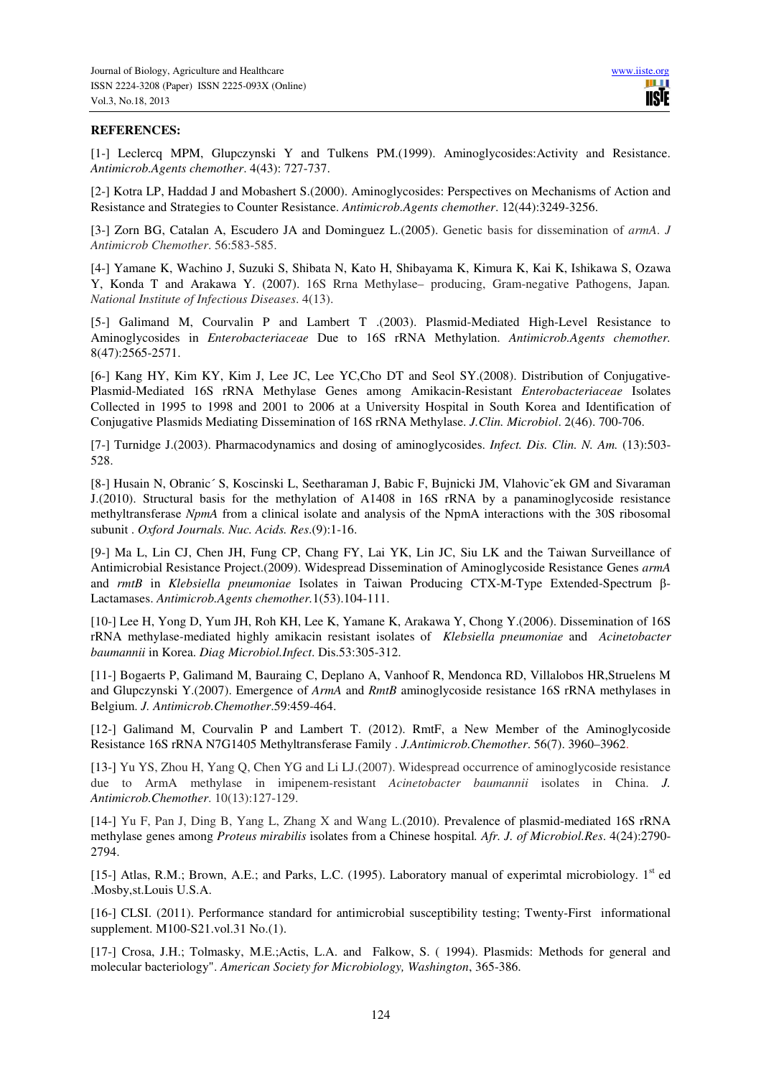#### **REFERENCES:**

[1-] Leclercq MPM, Glupczynski Y and Tulkens PM.(1999). Aminoglycosides:Activity and Resistance. *Antimicrob.Agents chemother*. 4(43): 727-737.

[2-] Kotra LP, Haddad J and Mobashert S.(2000). Aminoglycosides: Perspectives on Mechanisms of Action and Resistance and Strategies to Counter Resistance. *Antimicrob.Agents chemother*. 12(44):3249-3256.

[3-] Zorn BG, Catalan A, Escudero JA and Dominguez L.(2005). Genetic basis for dissemination of *armA*. *J Antimicrob Chemother*. 56:583-585.

[4-] Yamane K, Wachino J, Suzuki S, Shibata N, Kato H, Shibayama K, Kimura K, Kai K, Ishikawa S, Ozawa Y, Konda T and Arakawa Y. (2007). 16S Rrna Methylase– producing, Gram-negative Pathogens, Japan*. National Institute of Infectious Diseases*. 4(13).

[5-] Galimand M, Courvalin P and Lambert T .(2003). Plasmid-Mediated High-Level Resistance to Aminoglycosides in *Enterobacteriaceae* Due to 16S rRNA Methylation. *Antimicrob.Agents chemother.* 8(47):2565-2571.

[6-] Kang HY, Kim KY, Kim J, Lee JC, Lee YC,Cho DT and Seol SY.(2008). Distribution of Conjugative-Plasmid-Mediated 16S rRNA Methylase Genes among Amikacin-Resistant *Enterobacteriaceae* Isolates Collected in 1995 to 1998 and 2001 to 2006 at a University Hospital in South Korea and Identification of Conjugative Plasmids Mediating Dissemination of 16S rRNA Methylase. *J.Clin. Microbiol*. 2(46). 700-706.

[7-] Turnidge J.(2003). Pharmacodynamics and dosing of aminoglycosides. *Infect. Dis. Clin. N. Am.* (13):503- 528.

[8-] Husain N, Obranic´ S, Koscinski L, Seetharaman J, Babic F, Bujnicki JM, Vlahovicˇek GM and Sivaraman J.(2010). Structural basis for the methylation of A1408 in 16S rRNA by a panaminoglycoside resistance methyltransferase *NpmA* from a clinical isolate and analysis of the NpmA interactions with the 30S ribosomal subunit . *Oxford Journals. Nuc. Acids. Res*.(9):1-16.

[9-] Ma L, Lin CJ, Chen JH, Fung CP, Chang FY, Lai YK, Lin JC, Siu LK and the Taiwan Surveillance of Antimicrobial Resistance Project.(2009). Widespread Dissemination of Aminoglycoside Resistance Genes *armA*  and *rmtB* in *Klebsiella pneumoniae* Isolates in Taiwan Producing CTX-M-Type Extended-Spectrum β-Lactamases. *Antimicrob.Agents chemother.*1(53).104-111.

[10-] Lee H, Yong D, Yum JH, Roh KH, Lee K, Yamane K, Arakawa Y, Chong Y.(2006). Dissemination of 16S rRNA methylase-mediated highly amikacin resistant isolates of *Klebsiella pneumoniae* and *Acinetobacter baumannii* in Korea. *Diag Microbiol.Infect*. Dis.53:305-312.

[11-] Bogaerts P, Galimand M, Bauraing C, Deplano A, Vanhoof R, Mendonca RD, Villalobos HR,Struelens M and Glupczynski Y.(2007). Emergence of *ArmA* and *RmtB* aminoglycoside resistance 16S rRNA methylases in Belgium. *J. Antimicrob.Chemother*.59:459-464.

[12-] Galimand M, Courvalin P and Lambert T. (2012). RmtF, a New Member of the Aminoglycoside Resistance 16S rRNA N7G1405 Methyltransferase Family . *J.Antimicrob.Chemother*. 56(7). 3960–3962.

[13-] Yu YS, Zhou H, Yang Q, Chen YG and Li LJ.(2007). Widespread occurrence of aminoglycoside resistance due to ArmA methylase in imipenem-resistant *Acinetobacter baumannii* isolates in China. *J. Antimicrob.Chemother*. 10(13):127-129.

[14-] Yu F, Pan J, Ding B, Yang L, Zhang X and Wang L.(2010). Prevalence of plasmid-mediated 16S rRNA methylase genes among *Proteus mirabilis* isolates from a Chinese hospital*. Afr. J. of Microbiol.Res*. 4(24):2790- 2794.

[15-] Atlas, R.M.; Brown, A.E.; and Parks, L.C. (1995). Laboratory manual of experimtal microbiology. 1<sup>st</sup> ed .Mosby,st.Louis U.S.A.

[16-] CLSI. (2011). Performance standard for antimicrobial susceptibility testing; Twenty-First informational supplement. M100-S21.vol.31 No.(1).

[17-] Crosa, J.H.; Tolmasky, M.E.;Actis, L.A. and Falkow, S. ( 1994). Plasmids: Methods for general and molecular bacteriology". *American Society for Microbiology, Washington*, 365-386.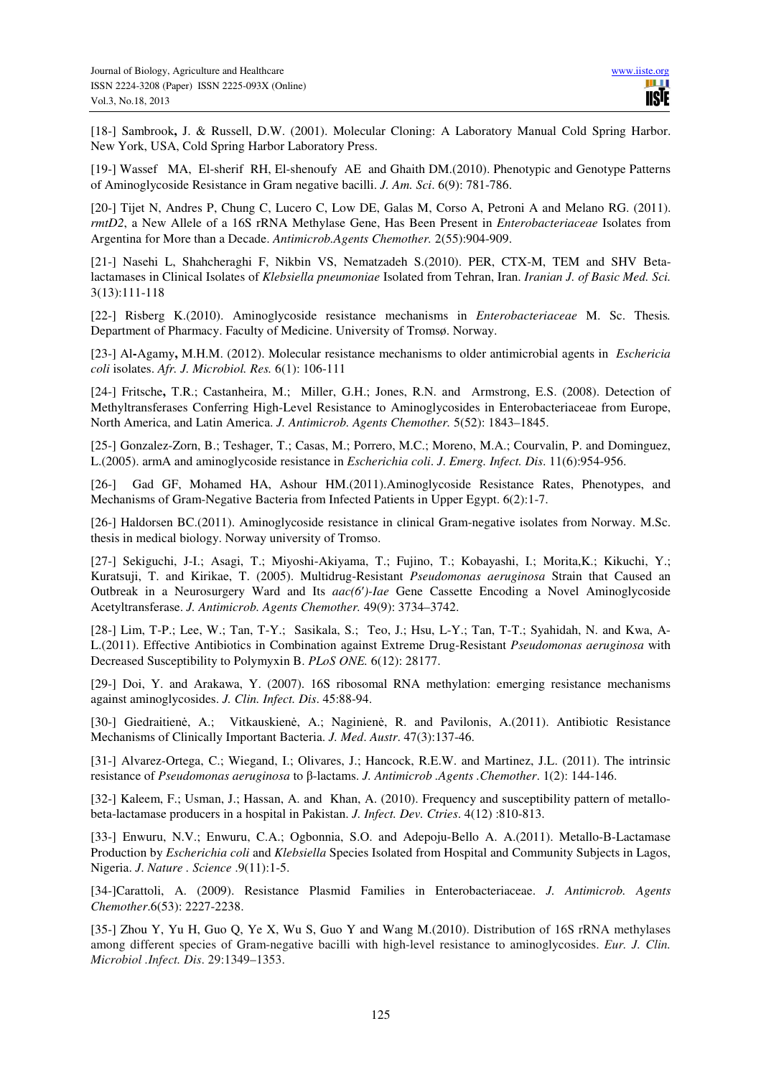[18-] Sambrook**,** J. & Russell, D.W. (2001). Molecular Cloning: A Laboratory Manual Cold Spring Harbor. New York, USA, Cold Spring Harbor Laboratory Press.

[19-] Wassef MA, El-sherif RH, El-shenoufy AE and Ghaith DM.(2010). Phenotypic and Genotype Patterns of Aminoglycoside Resistance in Gram negative bacilli. *J. Am. Sci*. 6(9): 781-786.

[20-] Tijet N, Andres P, Chung C, Lucero C, Low DE, Galas M, Corso A, Petroni A and Melano RG. (2011). *rmtD2*, a New Allele of a 16S rRNA Methylase Gene, Has Been Present in *Enterobacteriaceae* Isolates from Argentina for More than a Decade. *Antimicrob.Agents Chemother.* 2(55):904-909.

[21-] Nasehi L, Shahcheraghi F, Nikbin VS, Nematzadeh S.(2010). PER, CTX-M, TEM and SHV Betalactamases in Clinical Isolates of *Klebsiella pneumoniae* Isolated from Tehran, Iran. *Iranian J. of Basic Med. Sci.* 3(13):111-118

[22-] Risberg K.(2010). Aminoglycoside resistance mechanisms in *Enterobacteriaceae* M. Sc. Thesis*.* Department of Pharmacy. Faculty of Medicine. University of Tromsø. Norway.

[23-] Al**-**Agamy**,** M.H.M. (2012). Molecular resistance mechanisms to older antimicrobial agents in *Eschericia coli* isolates. *Afr. J. Microbiol. Res.* 6(1): 106-111

[24-] Fritsche**,** T.R.; Castanheira, M.; Miller, G.H.; Jones, R.N. and Armstrong, E.S. (2008). Detection of Methyltransferases Conferring High-Level Resistance to Aminoglycosides in Enterobacteriaceae from Europe, North America, and Latin America. *J. Antimicrob. Agents Chemother.* 5(52): 1843–1845.

[25-] Gonzalez-Zorn, B.; Teshager, T.; Casas, M.; Porrero, M.C.; Moreno, M.A.; Courvalin, P. and Dominguez, L.(2005). armA and aminoglycoside resistance in *Escherichia coli*. *J*. *Emerg. Infect. Dis*. 11(6):954-956.

[26-] Gad GF, Mohamed HA, Ashour HM.(2011).Aminoglycoside Resistance Rates, Phenotypes, and Mechanisms of Gram-Negative Bacteria from Infected Patients in Upper Egypt. 6(2):1-7.

[26-] Haldorsen BC.(2011). Aminoglycoside resistance in clinical Gram-negative isolates from Norway. M.Sc. thesis in medical biology. Norway university of Tromso.

[27-] Sekiguchi, J-I.; Asagi, T.; Miyoshi-Akiyama, T.; Fujino, T.; Kobayashi, I.; Morita,K.; Kikuchi, Y.; Kuratsuji, T. and Kirikae, T. (2005). Multidrug-Resistant *Pseudomonas aeruginosa* Strain that Caused an Outbreak in a Neurosurgery Ward and Its *aac(6*′*)-Iae* Gene Cassette Encoding a Novel Aminoglycoside Acetyltransferase. *J. Antimicrob. Agents Chemother.* 49(9): 3734–3742.

[28-] Lim, T-P.; Lee, W.; Tan, T-Y.; Sasikala, S.; Teo, J.; Hsu, L-Y.; Tan, T-T.; Syahidah, N. and Kwa, A-L.(2011). Effective Antibiotics in Combination against Extreme Drug-Resistant *Pseudomonas aeruginosa* with Decreased Susceptibility to Polymyxin B. *PLoS ONE.* 6(12): 28177.

[29-] Doi, Y. and Arakawa, Y. (2007). 16S ribosomal RNA methylation: emerging resistance mechanisms against aminoglycosides. *J. Clin. Infect. Dis*. 45:88-94.

[30-] Giedraitienė, A.; Vitkauskienė, A.; Naginienė, R. and Pavilonis, A.(2011). Antibiotic Resistance Mechanisms of Clinically Important Bacteria. *J. Med*. *Austr*. 47(3):137-46.

[31-] Alvarez-Ortega, C.; Wiegand, I.; Olivares, J.; Hancock, R.E.W. and Martinez, J.L. (2011). The intrinsic resistance of *Pseudomonas aeruginosa* to β-lactams. *J. Antimicrob .Agents .Chemother*. 1(2): 144-146.

[32-] Kaleem, F.; Usman, J.; Hassan, A. and Khan, A. (2010). Frequency and susceptibility pattern of metallobeta-lactamase producers in a hospital in Pakistan. *J. Infect. Dev. Ctries*. 4(12) :810-813.

[33-] Enwuru, N.V.; Enwuru, C.A.; Ogbonnia, S.O. and Adepoju-Bello A. A.(2011). Metallo-Β-Lactamase Production by *Escherichia coli* and *Klebsiella* Species Isolated from Hospital and Community Subjects in Lagos, Nigeria. *J*. *Nature . Science* .9(11):1-5.

[34-]Carattoli, A. (2009). Resistance Plasmid Families in Enterobacteriaceae. *J. Antimicrob. Agents Chemother*.6(53): 2227-2238.

[35-] Zhou Y, Yu H, Guo Q, Ye X, Wu S, Guo Y and Wang M.(2010). Distribution of 16S rRNA methylases among different species of Gram-negative bacilli with high-level resistance to aminoglycosides. *Eur. J. Clin. Microbiol .Infect. Dis*. 29:1349–1353.